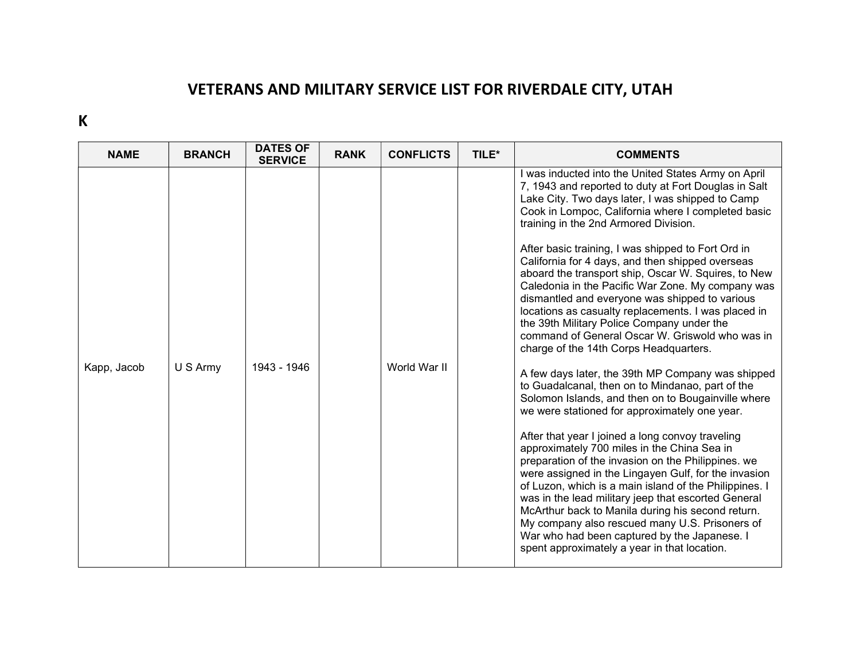## VETERANS AND MILITARY SERVICE LIST FOR RIVERDALE CITY, UTAH

K

| <b>NAME</b> | <b>BRANCH</b> | <b>DATES OF</b><br><b>SERVICE</b> | <b>RANK</b> | <b>CONFLICTS</b> | TILE* | <b>COMMENTS</b>                                                                                                                                                                                                                                                                                                                                                                                                                                                                                                                                                                                                                                                                                                                                                                                                                                                                                                                                                                                                                                                                                                                                                                                                                                                                                                                                                                                                                                                                                 |
|-------------|---------------|-----------------------------------|-------------|------------------|-------|-------------------------------------------------------------------------------------------------------------------------------------------------------------------------------------------------------------------------------------------------------------------------------------------------------------------------------------------------------------------------------------------------------------------------------------------------------------------------------------------------------------------------------------------------------------------------------------------------------------------------------------------------------------------------------------------------------------------------------------------------------------------------------------------------------------------------------------------------------------------------------------------------------------------------------------------------------------------------------------------------------------------------------------------------------------------------------------------------------------------------------------------------------------------------------------------------------------------------------------------------------------------------------------------------------------------------------------------------------------------------------------------------------------------------------------------------------------------------------------------------|
| Kapp, Jacob | U S Army      | 1943 - 1946                       |             | World War II     |       | I was inducted into the United States Army on April<br>7, 1943 and reported to duty at Fort Douglas in Salt<br>Lake City. Two days later, I was shipped to Camp<br>Cook in Lompoc, California where I completed basic<br>training in the 2nd Armored Division.<br>After basic training, I was shipped to Fort Ord in<br>California for 4 days, and then shipped overseas<br>aboard the transport ship, Oscar W. Squires, to New<br>Caledonia in the Pacific War Zone. My company was<br>dismantled and everyone was shipped to various<br>locations as casualty replacements. I was placed in<br>the 39th Military Police Company under the<br>command of General Oscar W. Griswold who was in<br>charge of the 14th Corps Headquarters.<br>A few days later, the 39th MP Company was shipped<br>to Guadalcanal, then on to Mindanao, part of the<br>Solomon Islands, and then on to Bougainville where<br>we were stationed for approximately one year.<br>After that year I joined a long convoy traveling<br>approximately 700 miles in the China Sea in<br>preparation of the invasion on the Philippines. we<br>were assigned in the Lingayen Gulf, for the invasion<br>of Luzon, which is a main island of the Philippines.<br>was in the lead military jeep that escorted General<br>McArthur back to Manila during his second return.<br>My company also rescued many U.S. Prisoners of<br>War who had been captured by the Japanese. I<br>spent approximately a year in that location. |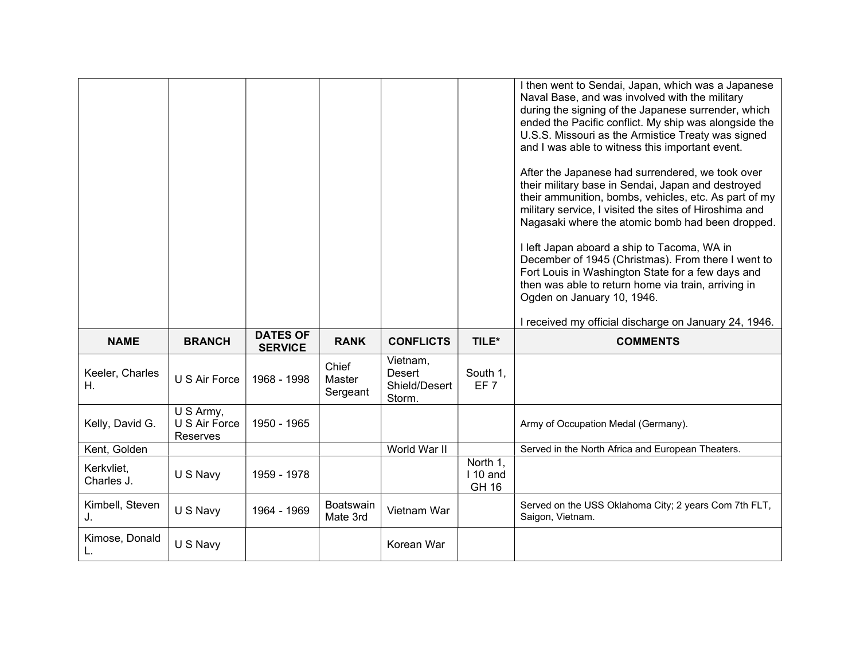|                          |                                        |                                   |                             |                                                      |                                       | I then went to Sendai, Japan, which was a Japanese<br>Naval Base, and was involved with the military<br>during the signing of the Japanese surrender, which<br>ended the Pacific conflict. My ship was alongside the<br>U.S.S. Missouri as the Armistice Treaty was signed<br>and I was able to witness this important event.<br>After the Japanese had surrendered, we took over<br>their military base in Sendai, Japan and destroyed<br>their ammunition, bombs, vehicles, etc. As part of my<br>military service, I visited the sites of Hiroshima and<br>Nagasaki where the atomic bomb had been dropped.<br>I left Japan aboard a ship to Tacoma, WA in<br>December of 1945 (Christmas). From there I went to<br>Fort Louis in Washington State for a few days and<br>then was able to return home via train, arriving in<br>Ogden on January 10, 1946. |
|--------------------------|----------------------------------------|-----------------------------------|-----------------------------|------------------------------------------------------|---------------------------------------|---------------------------------------------------------------------------------------------------------------------------------------------------------------------------------------------------------------------------------------------------------------------------------------------------------------------------------------------------------------------------------------------------------------------------------------------------------------------------------------------------------------------------------------------------------------------------------------------------------------------------------------------------------------------------------------------------------------------------------------------------------------------------------------------------------------------------------------------------------------|
| <b>NAME</b>              | <b>BRANCH</b>                          | <b>DATES OF</b><br><b>SERVICE</b> | <b>RANK</b>                 | <b>CONFLICTS</b>                                     | TILE*                                 | I received my official discharge on January 24, 1946.<br><b>COMMENTS</b>                                                                                                                                                                                                                                                                                                                                                                                                                                                                                                                                                                                                                                                                                                                                                                                      |
| Keeler, Charles<br>Η.    | U S Air Force                          | 1968 - 1998                       | Chief<br>Master<br>Sergeant | Vietnam,<br><b>Desert</b><br>Shield/Desert<br>Storm. | South 1,<br>EF <sub>7</sub>           |                                                                                                                                                                                                                                                                                                                                                                                                                                                                                                                                                                                                                                                                                                                                                                                                                                                               |
| Kelly, David G.          | U S Army,<br>U S Air Force<br>Reserves | 1950 - 1965                       |                             |                                                      |                                       | Army of Occupation Medal (Germany).                                                                                                                                                                                                                                                                                                                                                                                                                                                                                                                                                                                                                                                                                                                                                                                                                           |
| Kent, Golden             |                                        |                                   |                             | World War II                                         |                                       | Served in the North Africa and European Theaters.                                                                                                                                                                                                                                                                                                                                                                                                                                                                                                                                                                                                                                                                                                                                                                                                             |
| Kerkvliet,<br>Charles J. | U S Navy                               | 1959 - 1978                       |                             |                                                      | North 1,<br>$110$ and<br><b>GH 16</b> |                                                                                                                                                                                                                                                                                                                                                                                                                                                                                                                                                                                                                                                                                                                                                                                                                                                               |
| Kimbell, Steven<br>J.    | U S Navy                               | 1964 - 1969                       | Boatswain<br>Mate 3rd       | Vietnam War                                          |                                       | Served on the USS Oklahoma City; 2 years Com 7th FLT,<br>Saigon, Vietnam.                                                                                                                                                                                                                                                                                                                                                                                                                                                                                                                                                                                                                                                                                                                                                                                     |
| Kimose, Donald           | U S Navy                               |                                   |                             | Korean War                                           |                                       |                                                                                                                                                                                                                                                                                                                                                                                                                                                                                                                                                                                                                                                                                                                                                                                                                                                               |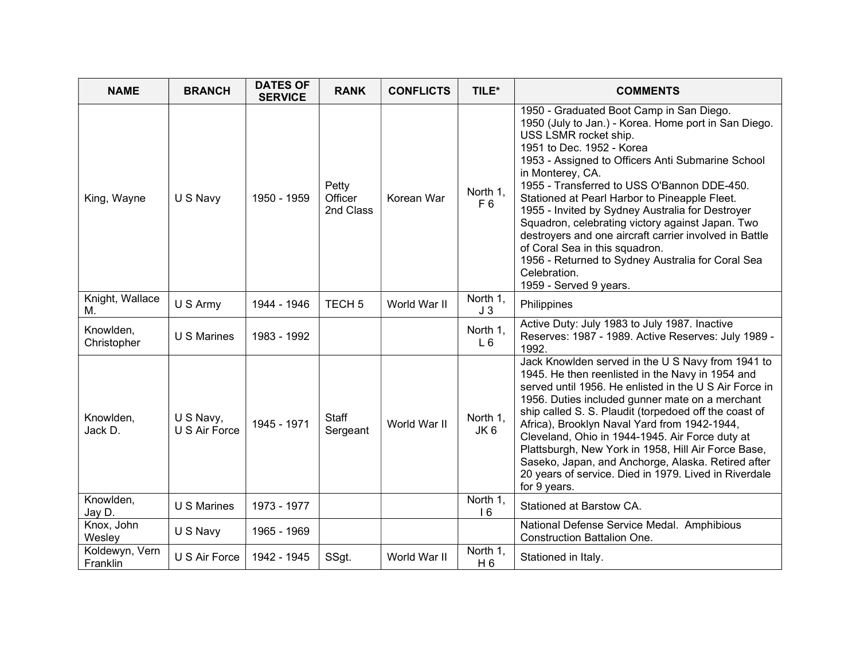| <b>NAME</b>                | <b>BRANCH</b>              | <b>DATES OF</b><br><b>SERVICE</b> | <b>RANK</b>                   | <b>CONFLICTS</b> | TILE*                      | <b>COMMENTS</b>                                                                                                                                                                                                                                                                                                                                                                                                                                                                                                                                                                                                                    |
|----------------------------|----------------------------|-----------------------------------|-------------------------------|------------------|----------------------------|------------------------------------------------------------------------------------------------------------------------------------------------------------------------------------------------------------------------------------------------------------------------------------------------------------------------------------------------------------------------------------------------------------------------------------------------------------------------------------------------------------------------------------------------------------------------------------------------------------------------------------|
| King, Wayne                | U S Navy                   | 1950 - 1959                       | Petty<br>Officer<br>2nd Class | Korean War       | North 1,<br>F <sub>6</sub> | 1950 - Graduated Boot Camp in San Diego.<br>1950 (July to Jan.) - Korea. Home port in San Diego.<br>USS LSMR rocket ship.<br>1951 to Dec. 1952 - Korea<br>1953 - Assigned to Officers Anti Submarine School<br>in Monterey, CA.<br>1955 - Transferred to USS O'Bannon DDE-450.<br>Stationed at Pearl Harbor to Pineapple Fleet.<br>1955 - Invited by Sydney Australia for Destroyer<br>Squadron, celebrating victory against Japan. Two<br>destroyers and one aircraft carrier involved in Battle<br>of Coral Sea in this squadron.<br>1956 - Returned to Sydney Australia for Coral Sea<br>Celebration.<br>1959 - Served 9 years. |
| Knight, Wallace<br>М.      | U S Army                   | 1944 - 1946                       | TECH <sub>5</sub>             | World War II     | North 1,<br>J <sub>3</sub> | Philippines                                                                                                                                                                                                                                                                                                                                                                                                                                                                                                                                                                                                                        |
| Knowlden,<br>Christopher   | <b>U S Marines</b>         | 1983 - 1992                       |                               |                  | North 1,<br>$L_6$          | Active Duty: July 1983 to July 1987. Inactive<br>Reserves: 1987 - 1989. Active Reserves: July 1989 -<br>1992.                                                                                                                                                                                                                                                                                                                                                                                                                                                                                                                      |
| Knowlden,<br>Jack D.       | U S Navy,<br>U S Air Force | 1945 - 1971                       | <b>Staff</b><br>Sergeant      | World War II     | North 1,<br>JK 6           | Jack Knowlden served in the U S Navy from 1941 to<br>1945. He then reenlisted in the Navy in 1954 and<br>served until 1956. He enlisted in the U S Air Force in<br>1956. Duties included gunner mate on a merchant<br>ship called S. S. Plaudit (torpedoed off the coast of<br>Africa), Brooklyn Naval Yard from 1942-1944,<br>Cleveland, Ohio in 1944-1945. Air Force duty at<br>Plattsburgh, New York in 1958, Hill Air Force Base,<br>Saseko, Japan, and Anchorge, Alaska. Retired after<br>20 years of service. Died in 1979. Lived in Riverdale<br>for 9 years.                                                               |
| Knowlden,<br>Jay D.        | <b>U S Marines</b>         | 1973 - 1977                       |                               |                  | North 1,<br>16             | Stationed at Barstow CA.                                                                                                                                                                                                                                                                                                                                                                                                                                                                                                                                                                                                           |
| Knox, John<br>Wesley       | U S Navy                   | 1965 - 1969                       |                               |                  |                            | National Defense Service Medal. Amphibious<br><b>Construction Battalion One.</b>                                                                                                                                                                                                                                                                                                                                                                                                                                                                                                                                                   |
| Koldewyn, Vern<br>Franklin | U S Air Force              | 1942 - 1945                       | SSgt.                         | World War II     | North 1,<br>H <sub>6</sub> | Stationed in Italy.                                                                                                                                                                                                                                                                                                                                                                                                                                                                                                                                                                                                                |